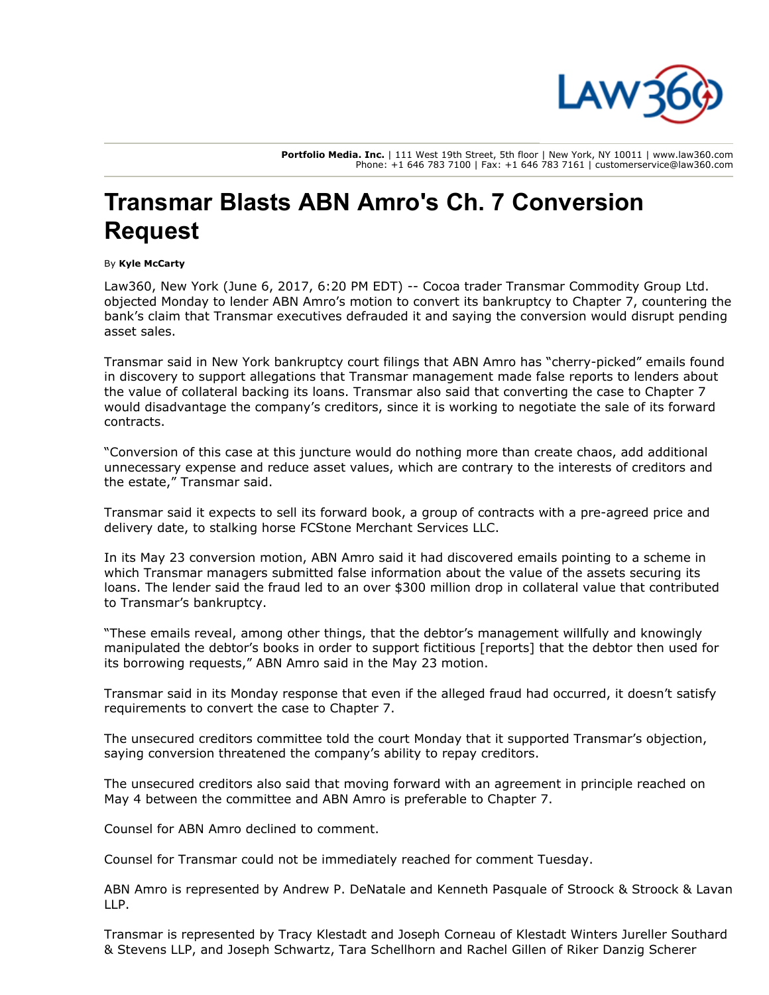

Portfolio Media. Inc. | 111 West 19th Street, 5th floor | New York, NY 10011 | www.law360.com Phone: +1 646 783 7100 | Fax: +1 646 783 7161 | customerservice@law360.com

## Transmar Blasts ABN Amro's Ch. 7 Conversion Request

## By Kyle McCarty

Law360, New York (June 6, 2017, 6:20 PM EDT) -- Cocoa trader Transmar Commodity Group Ltd. objected Monday to lender [ABN Amro'](https://www.law360.com/companies/abn-amro-bank-nv)s motion to convert its bankruptcy to Chapter 7, countering the bank's claim that Transmar executives defrauded it and saying the conversion would disrupt pending asset sales.

Transmar said in New York bankruptcy court filings that ABN Amro has "cherry-picked" emails found in discovery to support allegations that Transmar management made false reports to lenders about the value of collateral backing its loans. Transmar also said that converting the case to Chapter 7 would disadvantage the company's creditors, since it is working to negotiate the sale of its forward contracts.

"Conversion of this case at this juncture would do nothing more than create chaos, add additional unnecessary expense and reduce asset values, which are contrary to the interests of creditors and the estate," Transmar said.

Transmar said it expects to sell its forward book, a group of contracts with a pre-agreed price and delivery date, to stalking horse [FCStone Merchant Services LLC](https://www.law360.com/companies/intl-fcstone-inc).

In its May 23 conversion motion, ABN Amro said it had discovered emails pointing to a scheme in which Transmar managers submitted false information about the value of the assets securing its loans. The lender said the fraud led to an over \$300 million drop in collateral value that contributed to Transmar's bankruptcy.

"These emails reveal, among other things, that the debtor's management willfully and knowingly manipulated the debtor's books in order to support fictitious [reports] that the debtor then used for its borrowing requests," ABN Amro said in the May 23 motion.

Transmar said in its Monday response that even if the alleged fraud had occurred, it doesn't satisfy requirements to convert the case to Chapter 7.

The unsecured creditors committee told the court Monday that it supported Transmar's objection, saying conversion threatened the company's ability to repay creditors.

The unsecured creditors also said that moving forward with an agreement in principle reached on May 4 between the committee and ABN Amro is preferable to Chapter 7.

Counsel for ABN Amro declined to comment.

Counsel for Transmar could not be immediately reached for comment Tuesday.

[ABN Amro is represented by Andrew P. DeNatale and Kenneth Pasquale of Stroock & Stroock & Lavan](https://www.law360.com/firms/stroock-stroock) LLP.

[Transmar is represented by Tracy Klestadt and Joseph Corneau of Klestadt Winters Jureller Southard](https://www.law360.com/firms/klestadt-winters) [& Stevens LLP, and Joseph Schwartz, Tara Schellhorn and Rachel Gillen of Riker Danzig Scherer](https://www.law360.com/firms/riker-danzig)